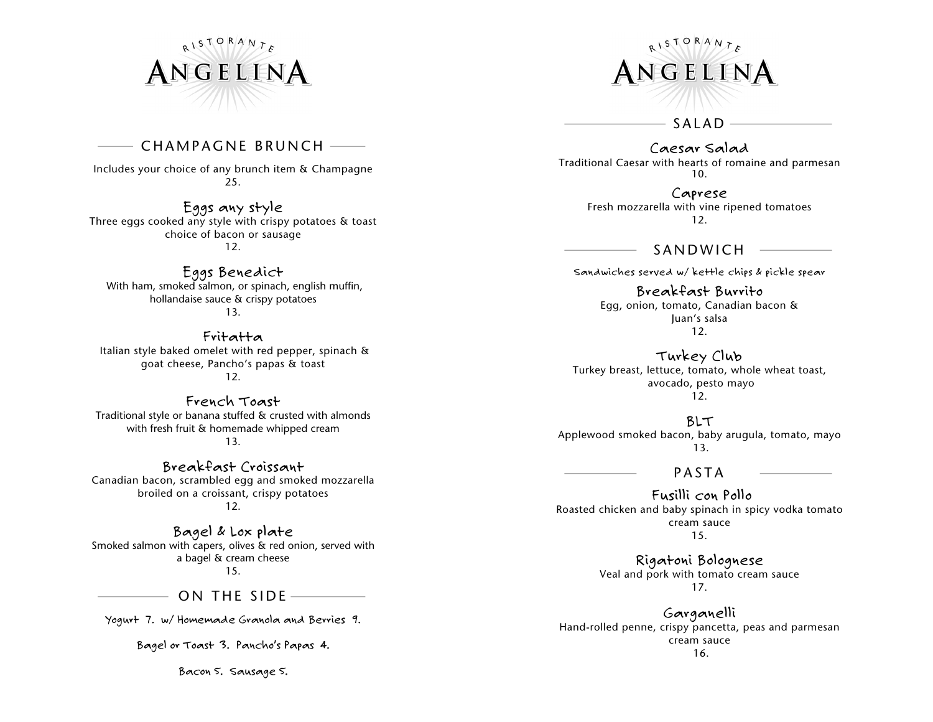

CHAMPAGNE BRUNCH

Includes your choice of any brunch item & Champagne 25.

*Eggs any style* Three eggs cooked any style with crispy potatoes & toast choice of bacon or sausage 12 .

*Eggs Benedict* With ham, smoked salmon, or spinach, english muffin, hollandaise sauce & crispy potatoes 13 .

*Fritatta*  Italian style baked omelet with red pepper, spinach & goat cheese, Pancho 's papas & toast 12 .

*French Toast* Traditional style or banana stuffed & crusted with almonds with fresh fr uit & homemade whipped cream 13 .

*Breakfast Croissant* Canadian bacon, scrambled egg and smoked mozzarella broiled on a croissant, crispy potatoes 12 .

*Bagel & Lox plate* Smoked salmon with capers, olives & red onion, served with a bagel & cream cheese 15 .

ON THE SIDE

*Yogurt 7. w/ Homemade Granola and Berries 9.* 

*Bagel or Toast 3. Pancho's Papas 4.*

*Bacon 5. Sausage 5.*



*Caesar Salad* Traditional Caesar with hearts of romaine and parmesan 10 .

> *Caprese* Fresh mozzarella with vine ripened tomatoes 12 .

> > SANDWICH

*Sandwiches served w/ kettle chips & pickle spear*

*Breakfast Burrito* Egg, onion, tomato , Canadian bacon & Juan's salsa 12 .

*Turkey Club* Turkey breast, lettuce, tomato , whole wheat toast, avocado, pesto mayo 12 .

*BLT* Applewood smoked bacon, baby arugula, tomato, mayo 13 .

PASTA

*Fusilli con Pollo* Roasted chicken and baby spinach in spicy vodka tomato cream sauce 15 .

> *Rigatoni Bolognese* Veal and pork with tomato cream sauce 17 .

*Garganelli* Hand -rolled penne, crispy pancetta, peas and parmesan cream sauce 16 .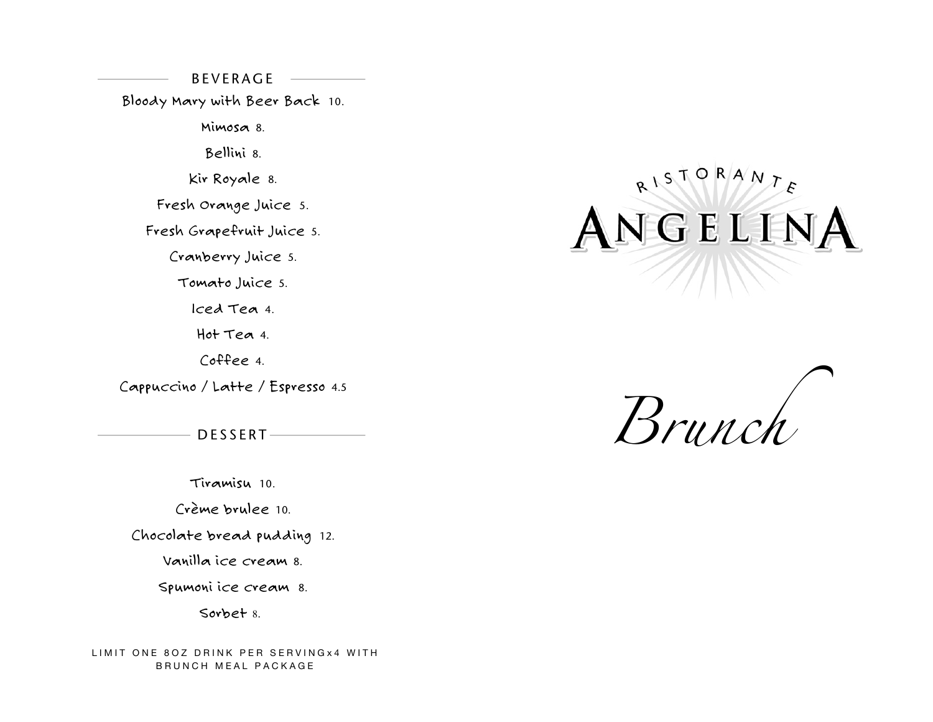## BEVERAGE

*Bloody Mary with Beer Back* 10.

*Mimosa* 8.

*Bellini* 8.

*Kir Royale* 8.

*Fresh Orange Juice* 5.

*Fresh Grapefruit Juice* 5.

*Cranberry Juice* 5.

*Tomato Juice* 5.

*Iced Tea* 4.

*Hot Tea* 4.

 *Coffee* 4.

*Cappuccino / Latte / Espresso* 4.5

DESSERT

*Tiramisu* 10.

*Crème brulee* 10.

*Chocolate bread pudding* 12.

*Vanilla ice cream* 8.

*Spumoni ice cream* 8.

Sorbet 8.

LIMIT ONE 80Z DRINK PER SERVING x 4 WITH BRUNCH MEAL PACKAGE

## RISTORANTE JGELIN

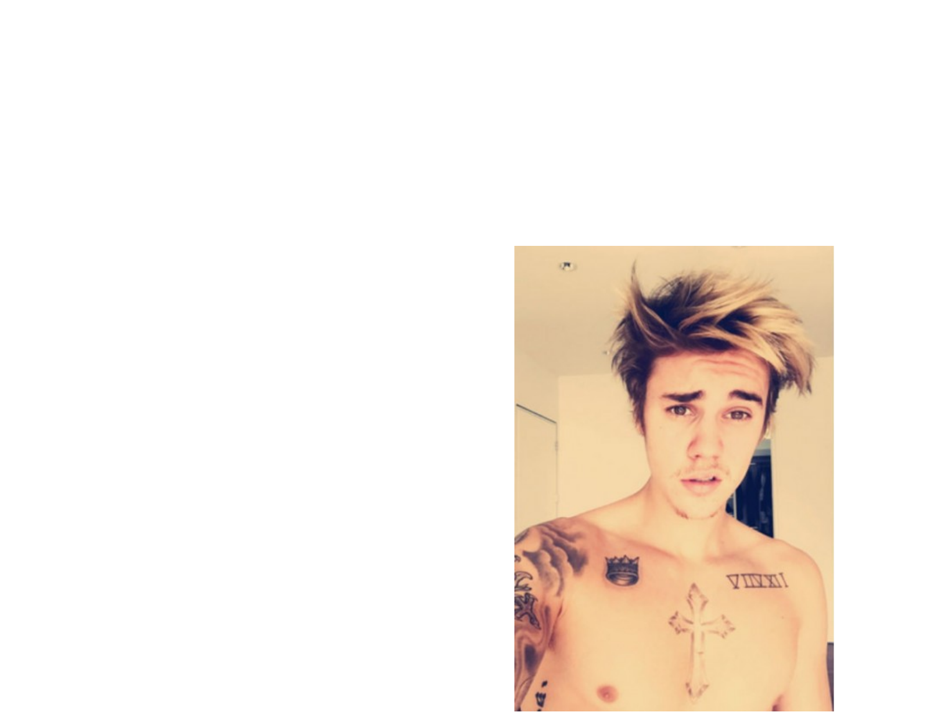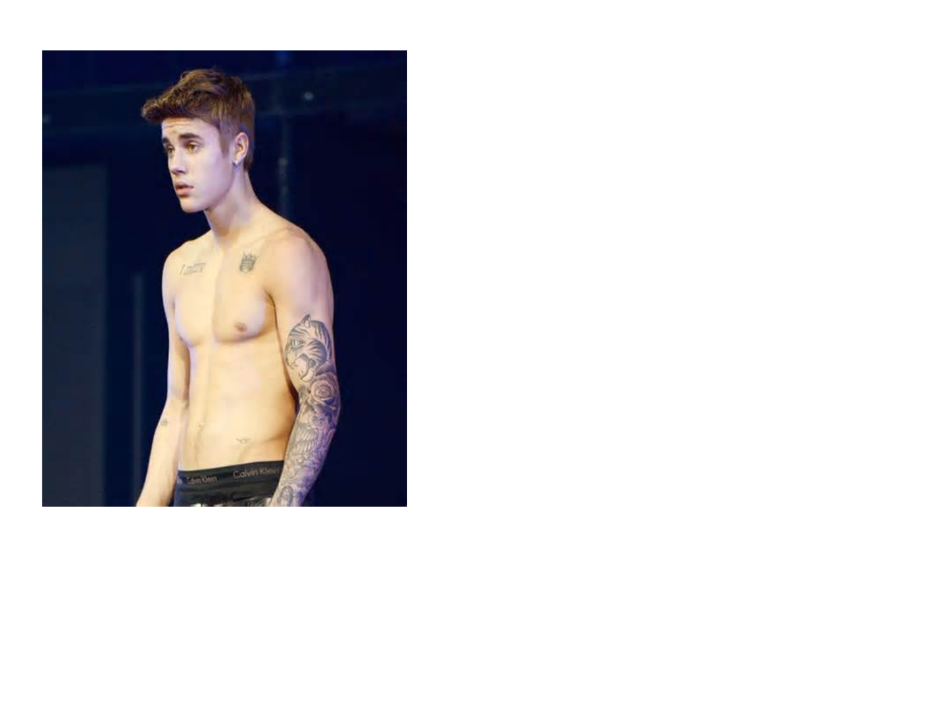